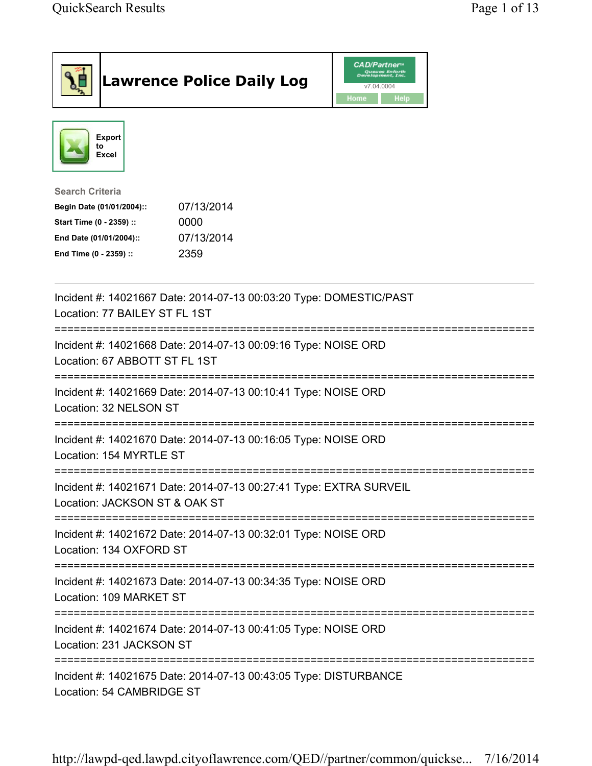| <b>Lawrence Police Daily Log</b>                                                                                                                                                 | <b>CAD/Partner</b> <sup>*</sup><br>Queues Enforth<br>Development, Inc.<br>v7.04.0004<br>Home<br>Help |  |
|----------------------------------------------------------------------------------------------------------------------------------------------------------------------------------|------------------------------------------------------------------------------------------------------|--|
| <b>Export</b><br>to<br>Excel                                                                                                                                                     |                                                                                                      |  |
| <b>Search Criteria</b><br>07/13/2014<br>Begin Date (01/01/2004)::<br>Start Time (0 - 2359) ::<br>0000<br>07/13/2014<br>End Date (01/01/2004)::<br>2359<br>End Time (0 - 2359) :: |                                                                                                      |  |
| Incident #: 14021667 Date: 2014-07-13 00:03:20 Type: DOMESTIC/PAST<br>Location: 77 BAILEY ST FL 1ST                                                                              |                                                                                                      |  |
| Incident #: 14021668 Date: 2014-07-13 00:09:16 Type: NOISE ORD<br>Location: 67 ABBOTT ST FL 1ST                                                                                  |                                                                                                      |  |
| Incident #: 14021669 Date: 2014-07-13 00:10:41 Type: NOISE ORD<br>Location: 32 NELSON ST                                                                                         |                                                                                                      |  |
| Incident #: 14021670 Date: 2014-07-13 00:16:05 Type: NOISE ORD<br>Location: 154 MYRTLE ST                                                                                        |                                                                                                      |  |
| Incident #: 14021671 Date: 2014-07-13 00:27:41 Type: EXTRA SURVEIL<br>Location: JACKSON ST & OAK ST                                                                              |                                                                                                      |  |
| Incident #: 14021672 Date: 2014-07-13 00:32:01 Type: NOISE ORD<br>Location: 134 OXFORD ST                                                                                        |                                                                                                      |  |
| Incident #: 14021673 Date: 2014-07-13 00:34:35 Type: NOISE ORD<br>Location: 109 MARKET ST                                                                                        |                                                                                                      |  |
| Incident #: 14021674 Date: 2014-07-13 00:41:05 Type: NOISE ORD<br>Location: 231 JACKSON ST                                                                                       |                                                                                                      |  |
| Incident #: 14021675 Date: 2014-07-13 00:43:05 Type: DISTURBANCE<br>Location: 54 CAMBRIDGE ST                                                                                    |                                                                                                      |  |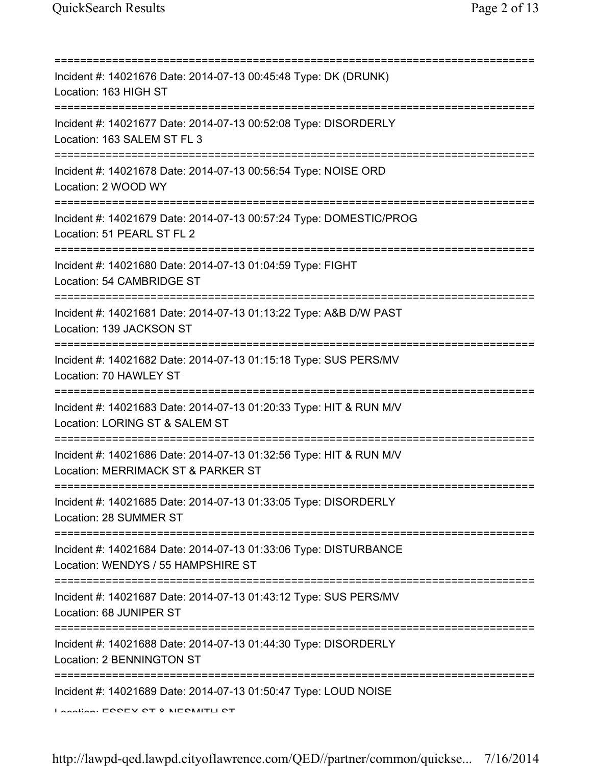| Incident #: 14021676 Date: 2014-07-13 00:45:48 Type: DK (DRUNK)<br>Location: 163 HIGH ST                                             |
|--------------------------------------------------------------------------------------------------------------------------------------|
| Incident #: 14021677 Date: 2014-07-13 00:52:08 Type: DISORDERLY<br>Location: 163 SALEM ST FL 3                                       |
| Incident #: 14021678 Date: 2014-07-13 00:56:54 Type: NOISE ORD<br>Location: 2 WOOD WY                                                |
| Incident #: 14021679 Date: 2014-07-13 00:57:24 Type: DOMESTIC/PROG<br>Location: 51 PEARL ST FL 2                                     |
| Incident #: 14021680 Date: 2014-07-13 01:04:59 Type: FIGHT<br>Location: 54 CAMBRIDGE ST                                              |
| ============================<br>Incident #: 14021681 Date: 2014-07-13 01:13:22 Type: A&B D/W PAST<br>Location: 139 JACKSON ST        |
| Incident #: 14021682 Date: 2014-07-13 01:15:18 Type: SUS PERS/MV<br>Location: 70 HAWLEY ST                                           |
| :===========================<br>Incident #: 14021683 Date: 2014-07-13 01:20:33 Type: HIT & RUN M/V<br>Location: LORING ST & SALEM ST |
| =================<br>Incident #: 14021686 Date: 2014-07-13 01:32:56 Type: HIT & RUN M/V<br>Location: MERRIMACK ST & PARKER ST        |
| Incident #: 14021685 Date: 2014-07-13 01:33:05 Type: DISORDERLY<br>Location: 28 SUMMER ST                                            |
| Incident #: 14021684 Date: 2014-07-13 01:33:06 Type: DISTURBANCE<br>Location: WENDYS / 55 HAMPSHIRE ST                               |
| Incident #: 14021687 Date: 2014-07-13 01:43:12 Type: SUS PERS/MV<br>Location: 68 JUNIPER ST                                          |
| ;=================================<br>Incident #: 14021688 Date: 2014-07-13 01:44:30 Type: DISORDERLY<br>Location: 2 BENNINGTON ST   |
| Incident #: 14021689 Date: 2014-07-13 01:50:47 Type: LOUD NOISE<br>Location: ECCEV CT 0 NIECMITLI CT                                 |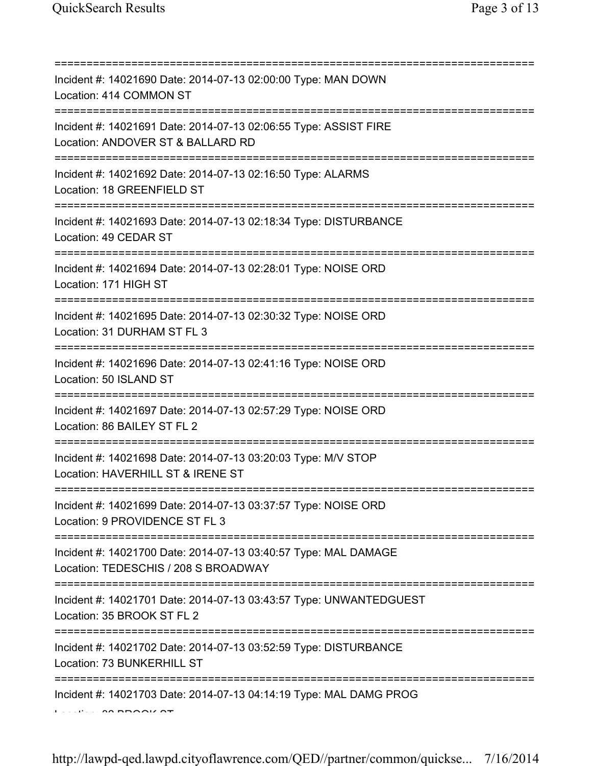| Incident #: 14021690 Date: 2014-07-13 02:00:00 Type: MAN DOWN<br>Location: 414 COMMON ST                                                |
|-----------------------------------------------------------------------------------------------------------------------------------------|
| Incident #: 14021691 Date: 2014-07-13 02:06:55 Type: ASSIST FIRE<br>Location: ANDOVER ST & BALLARD RD<br>===========================    |
| Incident #: 14021692 Date: 2014-07-13 02:16:50 Type: ALARMS<br>Location: 18 GREENFIELD ST                                               |
| Incident #: 14021693 Date: 2014-07-13 02:18:34 Type: DISTURBANCE<br>Location: 49 CEDAR ST<br>=====================================      |
| Incident #: 14021694 Date: 2014-07-13 02:28:01 Type: NOISE ORD<br>Location: 171 HIGH ST                                                 |
| Incident #: 14021695 Date: 2014-07-13 02:30:32 Type: NOISE ORD<br>Location: 31 DURHAM ST FL 3                                           |
| Incident #: 14021696 Date: 2014-07-13 02:41:16 Type: NOISE ORD<br>Location: 50 ISLAND ST                                                |
| ----------------------------------<br>Incident #: 14021697 Date: 2014-07-13 02:57:29 Type: NOISE ORD<br>Location: 86 BAILEY ST FL 2     |
| Incident #: 14021698 Date: 2014-07-13 03:20:03 Type: M/V STOP<br>Location: HAVERHILL ST & IRENE ST                                      |
| Incident #: 14021699 Date: 2014-07-13 03:37:57 Type: NOISE ORD<br>Location: 9 PROVIDENCE ST FL 3                                        |
| Incident #: 14021700 Date: 2014-07-13 03:40:57 Type: MAL DAMAGE<br>Location: TEDESCHIS / 208 S BROADWAY                                 |
| Incident #: 14021701 Date: 2014-07-13 03:43:57 Type: UNWANTEDGUEST<br>Location: 35 BROOK ST FL 2                                        |
| =====================================<br>Incident #: 14021702 Date: 2014-07-13 03:52:59 Type: DISTURBANCE<br>Location: 73 BUNKERHILL ST |
| Incident #: 14021703 Date: 2014-07-13 04:14:19 Type: MAL DAMG PROG                                                                      |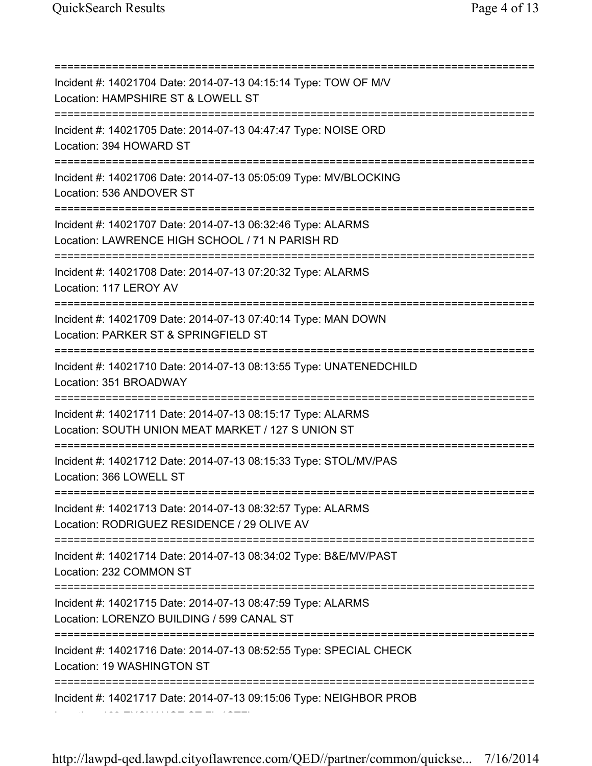=========================================================================== Incident #: 14021704 Date: 2014-07-13 04:15:14 Type: TOW OF M/V Location: HAMPSHIRE ST & LOWELL ST =========================================================================== Incident #: 14021705 Date: 2014-07-13 04:47:47 Type: NOISE ORD Location: 394 HOWARD ST =========================================================================== Incident #: 14021706 Date: 2014-07-13 05:05:09 Type: MV/BLOCKING Location: 536 ANDOVER ST =========================================================================== Incident #: 14021707 Date: 2014-07-13 06:32:46 Type: ALARMS Location: LAWRENCE HIGH SCHOOL / 71 N PARISH RD =========================================================================== Incident #: 14021708 Date: 2014-07-13 07:20:32 Type: ALARMS Location: 117 LEROY AV =========================================================================== Incident #: 14021709 Date: 2014-07-13 07:40:14 Type: MAN DOWN Location: PARKER ST & SPRINGFIELD ST =========================================================================== Incident #: 14021710 Date: 2014-07-13 08:13:55 Type: UNATENEDCHILD Location: 351 BROADWAY =========================================================================== Incident #: 14021711 Date: 2014-07-13 08:15:17 Type: ALARMS Location: SOUTH UNION MEAT MARKET / 127 S UNION ST =========================================================================== Incident #: 14021712 Date: 2014-07-13 08:15:33 Type: STOL/MV/PAS Location: 366 LOWELL ST =========================================================================== Incident #: 14021713 Date: 2014-07-13 08:32:57 Type: ALARMS Location: RODRIGUEZ RESIDENCE / 29 OLIVE AV =========================================================================== Incident #: 14021714 Date: 2014-07-13 08:34:02 Type: B&E/MV/PAST Location: 232 COMMON ST =========================================================================== Incident #: 14021715 Date: 2014-07-13 08:47:59 Type: ALARMS Location: LORENZO BUILDING / 599 CANAL ST =========================================================================== Incident #: 14021716 Date: 2014-07-13 08:52:55 Type: SPECIAL CHECK Location: 19 WASHINGTON ST =========================================================================== Incident #: 14021717 Date: 2014-07-13 09:15:06 Type: NEIGHBOR PROB Location: 103 EXCHANGE ST FL 1STFL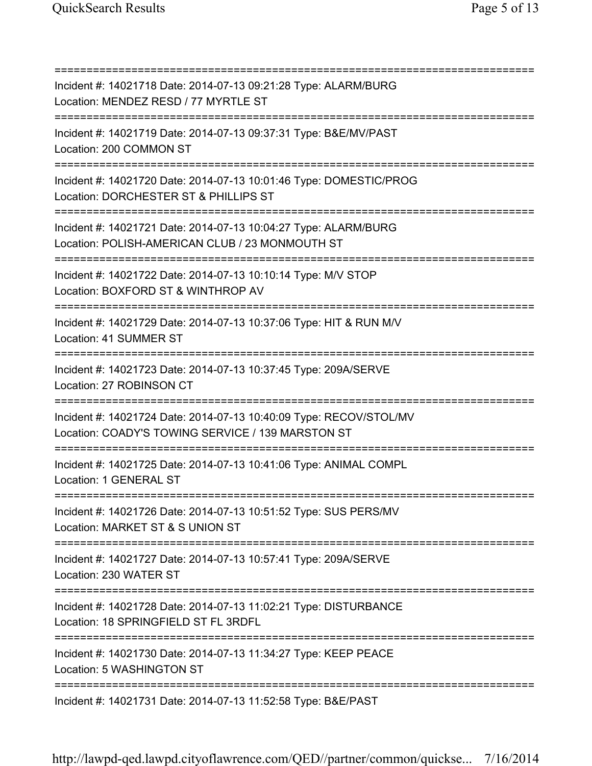=========================================================================== Incident #: 14021718 Date: 2014-07-13 09:21:28 Type: ALARM/BURG Location: MENDEZ RESD / 77 MYRTLE ST =========================================================================== Incident #: 14021719 Date: 2014-07-13 09:37:31 Type: B&E/MV/PAST Location: 200 COMMON ST =========================================================================== Incident #: 14021720 Date: 2014-07-13 10:01:46 Type: DOMESTIC/PROG Location: DORCHESTER ST & PHILLIPS ST =========================================================================== Incident #: 14021721 Date: 2014-07-13 10:04:27 Type: ALARM/BURG Location: POLISH-AMERICAN CLUB / 23 MONMOUTH ST =========================================================================== Incident #: 14021722 Date: 2014-07-13 10:10:14 Type: M/V STOP Location: BOXFORD ST & WINTHROP AV =========================================================================== Incident #: 14021729 Date: 2014-07-13 10:37:06 Type: HIT & RUN M/V Location: 41 SUMMER ST =========================================================================== Incident #: 14021723 Date: 2014-07-13 10:37:45 Type: 209A/SERVE Location: 27 ROBINSON CT =========================================================================== Incident #: 14021724 Date: 2014-07-13 10:40:09 Type: RECOV/STOL/MV Location: COADY'S TOWING SERVICE / 139 MARSTON ST =========================================================================== Incident #: 14021725 Date: 2014-07-13 10:41:06 Type: ANIMAL COMPL Location: 1 GENERAL ST =========================================================================== Incident #: 14021726 Date: 2014-07-13 10:51:52 Type: SUS PERS/MV Location: MARKET ST & S UNION ST =========================================================================== Incident #: 14021727 Date: 2014-07-13 10:57:41 Type: 209A/SERVE Location: 230 WATER ST =========================================================================== Incident #: 14021728 Date: 2014-07-13 11:02:21 Type: DISTURBANCE Location: 18 SPRINGFIELD ST FL 3RDFL =========================================================================== Incident #: 14021730 Date: 2014-07-13 11:34:27 Type: KEEP PEACE Location: 5 WASHINGTON ST =========================================================================== Incident #: 14021731 Date: 2014-07-13 11:52:58 Type: B&E/PAST

http://lawpd-qed.lawpd.cityoflawrence.com/QED//partner/common/quickse... 7/16/2014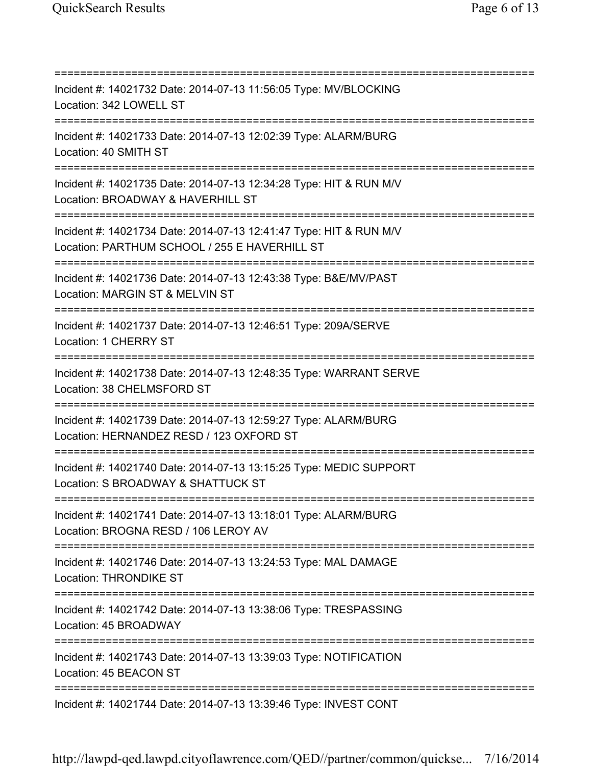=========================================================================== Incident #: 14021732 Date: 2014-07-13 11:56:05 Type: MV/BLOCKING Location: 342 LOWELL ST =========================================================================== Incident #: 14021733 Date: 2014-07-13 12:02:39 Type: ALARM/BURG Location: 40 SMITH ST =========================================================================== Incident #: 14021735 Date: 2014-07-13 12:34:28 Type: HIT & RUN M/V Location: BROADWAY & HAVERHILL ST =========================================================================== Incident #: 14021734 Date: 2014-07-13 12:41:47 Type: HIT & RUN M/V Location: PARTHUM SCHOOL / 255 E HAVERHILL ST =========================================================================== Incident #: 14021736 Date: 2014-07-13 12:43:38 Type: B&E/MV/PAST Location: MARGIN ST & MELVIN ST =========================================================================== Incident #: 14021737 Date: 2014-07-13 12:46:51 Type: 209A/SERVE Location: 1 CHERRY ST =========================================================================== Incident #: 14021738 Date: 2014-07-13 12:48:35 Type: WARRANT SERVE Location: 38 CHELMSFORD ST =========================================================================== Incident #: 14021739 Date: 2014-07-13 12:59:27 Type: ALARM/BURG Location: HERNANDEZ RESD / 123 OXFORD ST =========================================================================== Incident #: 14021740 Date: 2014-07-13 13:15:25 Type: MEDIC SUPPORT Location: S BROADWAY & SHATTUCK ST =========================================================================== Incident #: 14021741 Date: 2014-07-13 13:18:01 Type: ALARM/BURG Location: BROGNA RESD / 106 LEROY AV =========================================================================== Incident #: 14021746 Date: 2014-07-13 13:24:53 Type: MAL DAMAGE Location: THRONDIKE ST =========================================================================== Incident #: 14021742 Date: 2014-07-13 13:38:06 Type: TRESPASSING Location: 45 BROADWAY =========================================================================== Incident #: 14021743 Date: 2014-07-13 13:39:03 Type: NOTIFICATION Location: 45 BEACON ST =========================================================================== Incident #: 14021744 Date: 2014-07-13 13:39:46 Type: INVEST CONT

http://lawpd-qed.lawpd.cityoflawrence.com/QED//partner/common/quickse... 7/16/2014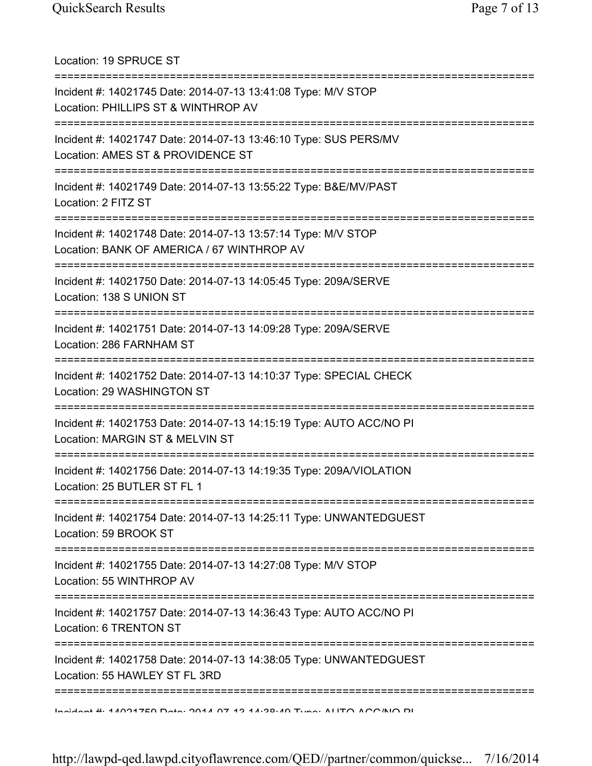Location: 19 SPRUCE ST =========================================================================== Incident #: 14021745 Date: 2014-07-13 13:41:08 Type: M/V STOP Location: PHILLIPS ST & WINTHROP AV =========================================================================== Incident #: 14021747 Date: 2014-07-13 13:46:10 Type: SUS PERS/MV Location: AMES ST & PROVIDENCE ST =========================================================================== Incident #: 14021749 Date: 2014-07-13 13:55:22 Type: B&E/MV/PAST Location: 2 FITZ ST =========================================================================== Incident #: 14021748 Date: 2014-07-13 13:57:14 Type: M/V STOP Location: BANK OF AMERICA / 67 WINTHROP AV =========================================================================== Incident #: 14021750 Date: 2014-07-13 14:05:45 Type: 209A/SERVE Location: 138 S UNION ST =========================================================================== Incident #: 14021751 Date: 2014-07-13 14:09:28 Type: 209A/SERVE Location: 286 FARNHAM ST =========================================================================== Incident #: 14021752 Date: 2014-07-13 14:10:37 Type: SPECIAL CHECK Location: 29 WASHINGTON ST =========================================================================== Incident #: 14021753 Date: 2014-07-13 14:15:19 Type: AUTO ACC/NO PI Location: MARGIN ST & MELVIN ST =========================================================================== Incident #: 14021756 Date: 2014-07-13 14:19:35 Type: 209A/VIOLATION Location: 25 BUTLER ST FL 1 =========================================================================== Incident #: 14021754 Date: 2014-07-13 14:25:11 Type: UNWANTEDGUEST Location: 59 BROOK ST =========================================================================== Incident #: 14021755 Date: 2014-07-13 14:27:08 Type: M/V STOP Location: 55 WINTHROP AV =========================================================================== Incident #: 14021757 Date: 2014-07-13 14:36:43 Type: AUTO ACC/NO PI Location: 6 TRENTON ST =========================================================================== Incident #: 14021758 Date: 2014-07-13 14:38:05 Type: UNWANTEDGUEST Location: 55 HAWLEY ST FL 3RD =========================================================================== Incident #: 14021759 Date: 2014 07 13 14:38:49 Type: AUTO ACC/NO PI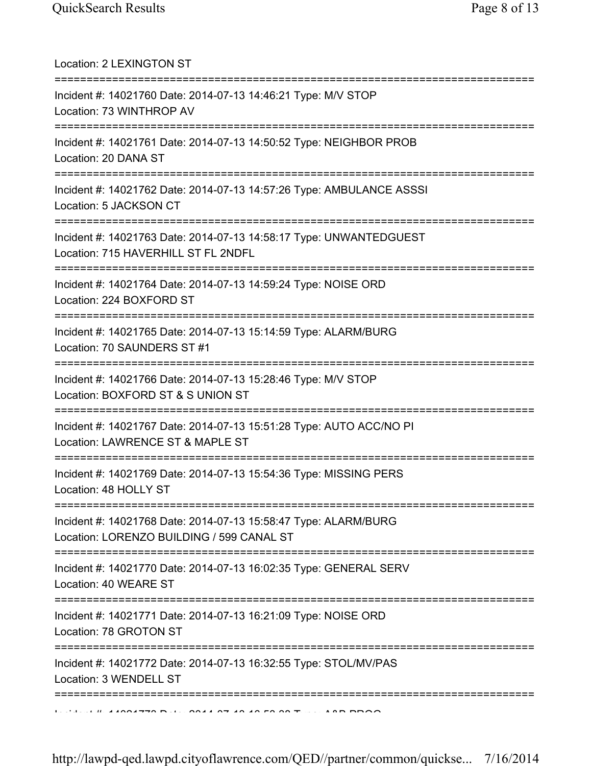| Location: 2 LEXINGTON ST<br>======================                                                                                             |
|------------------------------------------------------------------------------------------------------------------------------------------------|
| Incident #: 14021760 Date: 2014-07-13 14:46:21 Type: M/V STOP<br>Location: 73 WINTHROP AV<br>====================================              |
| Incident #: 14021761 Date: 2014-07-13 14:50:52 Type: NEIGHBOR PROB<br>Location: 20 DANA ST                                                     |
| Incident #: 14021762 Date: 2014-07-13 14:57:26 Type: AMBULANCE ASSSI<br>Location: 5 JACKSON CT                                                 |
| Incident #: 14021763 Date: 2014-07-13 14:58:17 Type: UNWANTEDGUEST<br>Location: 715 HAVERHILL ST FL 2NDFL                                      |
| Incident #: 14021764 Date: 2014-07-13 14:59:24 Type: NOISE ORD<br>Location: 224 BOXFORD ST                                                     |
| Incident #: 14021765 Date: 2014-07-13 15:14:59 Type: ALARM/BURG<br>Location: 70 SAUNDERS ST #1                                                 |
| Incident #: 14021766 Date: 2014-07-13 15:28:46 Type: M/V STOP<br>Location: BOXFORD ST & S UNION ST                                             |
| Incident #: 14021767 Date: 2014-07-13 15:51:28 Type: AUTO ACC/NO PI<br>Location: LAWRENCE ST & MAPLE ST<br>=======================             |
| Incident #: 14021769 Date: 2014-07-13 15:54:36 Type: MISSING PERS<br>Location: 48 HOLLY ST<br>====================================             |
| ==============================<br>Incident #: 14021768 Date: 2014-07-13 15:58:47 Type: ALARM/BURG<br>Location: LORENZO BUILDING / 599 CANAL ST |
| ======================<br>Incident #: 14021770 Date: 2014-07-13 16:02:35 Type: GENERAL SERV<br>Location: 40 WEARE ST                           |
| Incident #: 14021771 Date: 2014-07-13 16:21:09 Type: NOISE ORD<br>Location: 78 GROTON ST<br>=======================                            |
| Incident #: 14021772 Date: 2014-07-13 16:32:55 Type: STOL/MV/PAS<br>Location: 3 WENDELL ST                                                     |
| $1.11.11$ $1.1004770$ $D.11$ $D.044$ $D.740$ $D.00$ $D.7$                                                                                      |

http://lawpd-qed.lawpd.cityoflawrence.com/QED//partner/common/quickse... 7/16/2014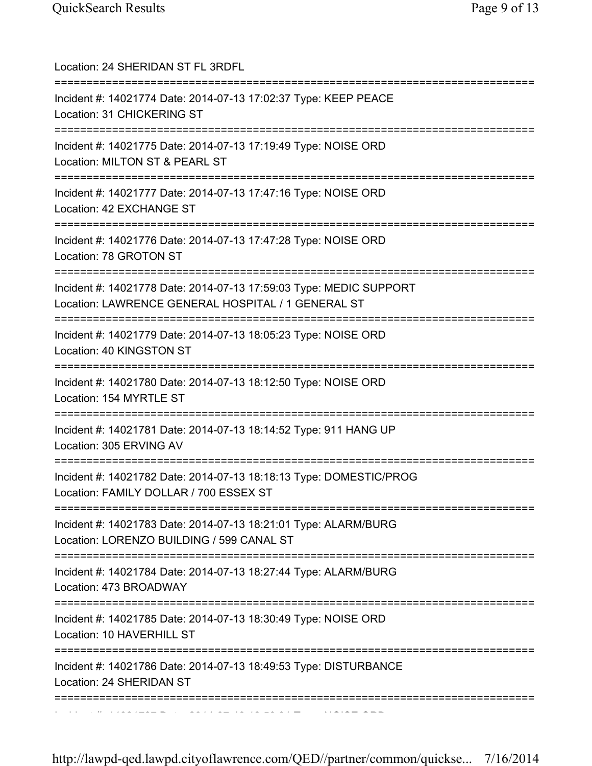| Location: 24 SHERIDAN ST FL 3RDFL<br>======================================                                                      |
|----------------------------------------------------------------------------------------------------------------------------------|
| Incident #: 14021774 Date: 2014-07-13 17:02:37 Type: KEEP PEACE<br>Location: 31 CHICKERING ST<br>=============================== |
| Incident #: 14021775 Date: 2014-07-13 17:19:49 Type: NOISE ORD<br>Location: MILTON ST & PEARL ST                                 |
| Incident #: 14021777 Date: 2014-07-13 17:47:16 Type: NOISE ORD<br>Location: 42 EXCHANGE ST                                       |
| Incident #: 14021776 Date: 2014-07-13 17:47:28 Type: NOISE ORD<br>Location: 78 GROTON ST                                         |
| Incident #: 14021778 Date: 2014-07-13 17:59:03 Type: MEDIC SUPPORT<br>Location: LAWRENCE GENERAL HOSPITAL / 1 GENERAL ST         |
| Incident #: 14021779 Date: 2014-07-13 18:05:23 Type: NOISE ORD<br>Location: 40 KINGSTON ST                                       |
| Incident #: 14021780 Date: 2014-07-13 18:12:50 Type: NOISE ORD<br>Location: 154 MYRTLE ST                                        |
| Incident #: 14021781 Date: 2014-07-13 18:14:52 Type: 911 HANG UP<br>Location: 305 ERVING AV                                      |
| Incident #: 14021782 Date: 2014-07-13 18:18:13 Type: DOMESTIC/PROG<br>Location: FAMILY DOLLAR / 700 ESSEX ST                     |
| Incident #: 14021783 Date: 2014-07-13 18:21:01 Type: ALARM/BURG<br>Location: LORENZO BUILDING / 599 CANAL ST                     |
| ===========================<br>Incident #: 14021784 Date: 2014-07-13 18:27:44 Type: ALARM/BURG<br>Location: 473 BROADWAY         |
| Incident #: 14021785 Date: 2014-07-13 18:30:49 Type: NOISE ORD<br>Location: 10 HAVERHILL ST                                      |
| Incident #: 14021786 Date: 2014-07-13 18:49:53 Type: DISTURBANCE<br>Location: 24 SHERIDAN ST                                     |
| ===============                                                                                                                  |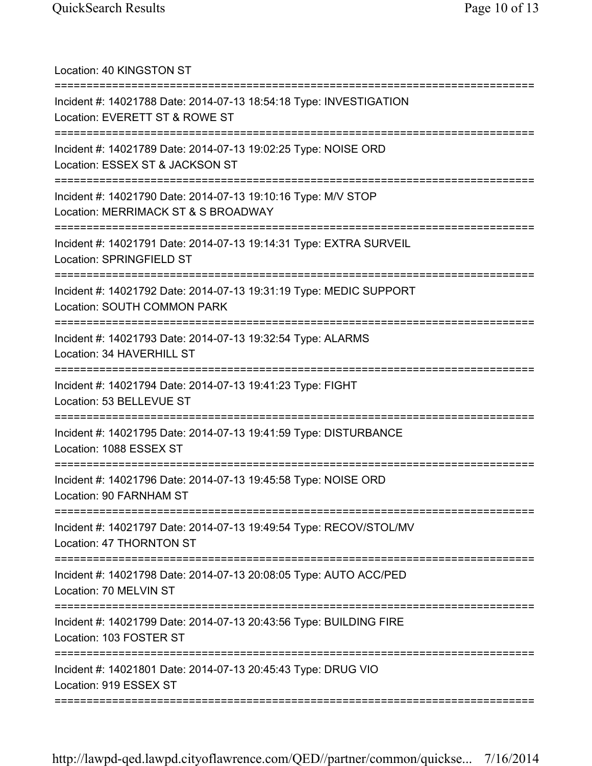Location: 40 KINGSTON ST =========================================================================== Incident #: 14021788 Date: 2014-07-13 18:54:18 Type: INVESTIGATION Location: EVERETT ST & ROWE ST =========================================================================== Incident #: 14021789 Date: 2014-07-13 19:02:25 Type: NOISE ORD Location: ESSEX ST & JACKSON ST =========================================================================== Incident #: 14021790 Date: 2014-07-13 19:10:16 Type: M/V STOP Location: MERRIMACK ST & S BROADWAY =========================================================================== Incident #: 14021791 Date: 2014-07-13 19:14:31 Type: EXTRA SURVEIL Location: SPRINGFIELD ST =========================================================================== Incident #: 14021792 Date: 2014-07-13 19:31:19 Type: MEDIC SUPPORT Location: SOUTH COMMON PARK =========================================================================== Incident #: 14021793 Date: 2014-07-13 19:32:54 Type: ALARMS Location: 34 HAVERHILL ST =========================================================================== Incident #: 14021794 Date: 2014-07-13 19:41:23 Type: FIGHT Location: 53 BELLEVUE ST =========================================================================== Incident #: 14021795 Date: 2014-07-13 19:41:59 Type: DISTURBANCE Location: 1088 ESSEX ST =========================================================================== Incident #: 14021796 Date: 2014-07-13 19:45:58 Type: NOISE ORD Location: 90 FARNHAM ST =========================================================================== Incident #: 14021797 Date: 2014-07-13 19:49:54 Type: RECOV/STOL/MV Location: 47 THORNTON ST =========================================================================== Incident #: 14021798 Date: 2014-07-13 20:08:05 Type: AUTO ACC/PED Location: 70 MELVIN ST =========================================================================== Incident #: 14021799 Date: 2014-07-13 20:43:56 Type: BUILDING FIRE Location: 103 FOSTER ST =========================================================================== Incident #: 14021801 Date: 2014-07-13 20:45:43 Type: DRUG VIO Location: 919 ESSEX ST ===========================================================================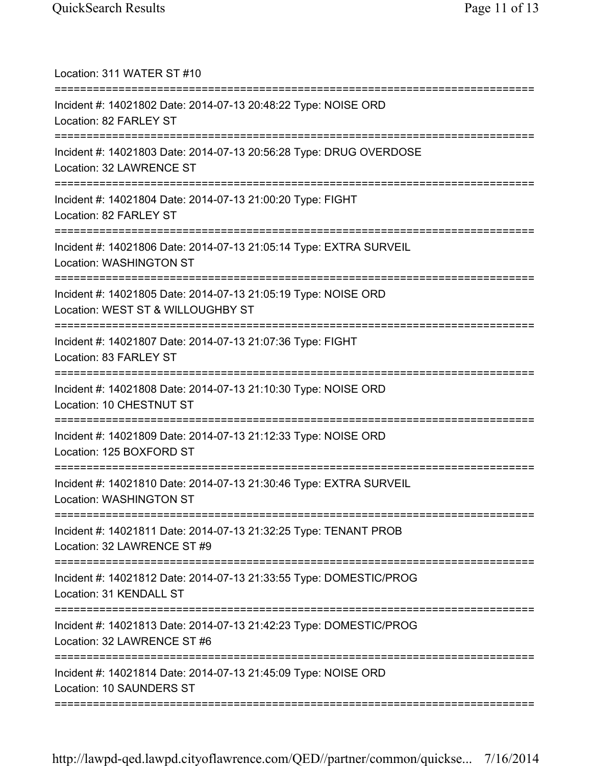| Location: 311 WATER ST #10<br>======================                                                                                |
|-------------------------------------------------------------------------------------------------------------------------------------|
| Incident #: 14021802 Date: 2014-07-13 20:48:22 Type: NOISE ORD<br>Location: 82 FARLEY ST                                            |
| Incident #: 14021803 Date: 2014-07-13 20:56:28 Type: DRUG OVERDOSE<br>Location: 32 LAWRENCE ST<br>================================= |
| Incident #: 14021804 Date: 2014-07-13 21:00:20 Type: FIGHT<br>Location: 82 FARLEY ST                                                |
| Incident #: 14021806 Date: 2014-07-13 21:05:14 Type: EXTRA SURVEIL<br>Location: WASHINGTON ST                                       |
| Incident #: 14021805 Date: 2014-07-13 21:05:19 Type: NOISE ORD<br>Location: WEST ST & WILLOUGHBY ST                                 |
| Incident #: 14021807 Date: 2014-07-13 21:07:36 Type: FIGHT<br>Location: 83 FARLEY ST<br>=====================================       |
| Incident #: 14021808 Date: 2014-07-13 21:10:30 Type: NOISE ORD<br>Location: 10 CHESTNUT ST                                          |
| Incident #: 14021809 Date: 2014-07-13 21:12:33 Type: NOISE ORD<br>Location: 125 BOXFORD ST                                          |
| Incident #: 14021810 Date: 2014-07-13 21:30:46 Type: EXTRA SURVEIL<br>Location: WASHINGTON ST                                       |
| Incident #: 14021811 Date: 2014-07-13 21:32:25 Type: TENANT PROB<br>Location: 32 LAWRENCE ST #9                                     |
| Incident #: 14021812 Date: 2014-07-13 21:33:55 Type: DOMESTIC/PROG<br>Location: 31 KENDALL ST                                       |
| Incident #: 14021813 Date: 2014-07-13 21:42:23 Type: DOMESTIC/PROG<br>Location: 32 LAWRENCE ST #6                                   |
| Incident #: 14021814 Date: 2014-07-13 21:45:09 Type: NOISE ORD<br>Location: 10 SAUNDERS ST                                          |
|                                                                                                                                     |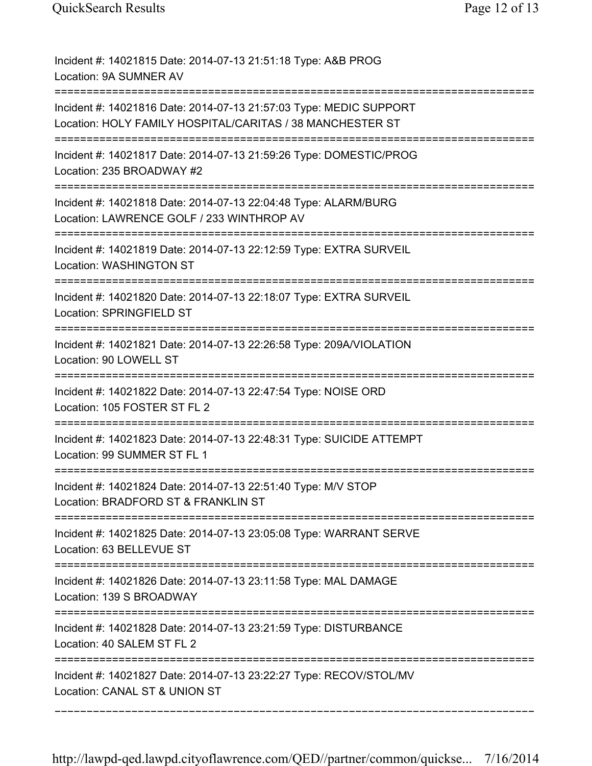| Incident #: 14021815 Date: 2014-07-13 21:51:18 Type: A&B PROG<br>Location: 9A SUMNER AV                                               |
|---------------------------------------------------------------------------------------------------------------------------------------|
| Incident #: 14021816 Date: 2014-07-13 21:57:03 Type: MEDIC SUPPORT<br>Location: HOLY FAMILY HOSPITAL/CARITAS / 38 MANCHESTER ST       |
| Incident #: 14021817 Date: 2014-07-13 21:59:26 Type: DOMESTIC/PROG<br>Location: 235 BROADWAY #2                                       |
| Incident #: 14021818 Date: 2014-07-13 22:04:48 Type: ALARM/BURG<br>Location: LAWRENCE GOLF / 233 WINTHROP AV                          |
| Incident #: 14021819 Date: 2014-07-13 22:12:59 Type: EXTRA SURVEIL<br>Location: WASHINGTON ST                                         |
| Incident #: 14021820 Date: 2014-07-13 22:18:07 Type: EXTRA SURVEIL<br>Location: SPRINGFIELD ST                                        |
| Incident #: 14021821 Date: 2014-07-13 22:26:58 Type: 209A/VIOLATION<br>Location: 90 LOWELL ST                                         |
| Incident #: 14021822 Date: 2014-07-13 22:47:54 Type: NOISE ORD<br>Location: 105 FOSTER ST FL 2<br>=================================== |
| Incident #: 14021823 Date: 2014-07-13 22:48:31 Type: SUICIDE ATTEMPT<br>Location: 99 SUMMER ST FL 1                                   |
| Incident #: 14021824 Date: 2014-07-13 22:51:40 Type: M/V STOP<br>Location: BRADFORD ST & FRANKLIN ST                                  |
| Incident #: 14021825 Date: 2014-07-13 23:05:08 Type: WARRANT SERVE<br>Location: 63 BELLEVUE ST                                        |
| Incident #: 14021826 Date: 2014-07-13 23:11:58 Type: MAL DAMAGE<br>Location: 139 S BROADWAY                                           |
| Incident #: 14021828 Date: 2014-07-13 23:21:59 Type: DISTURBANCE<br>Location: 40 SALEM ST FL 2                                        |
| Incident #: 14021827 Date: 2014-07-13 23:22:27 Type: RECOV/STOL/MV<br>Location: CANAL ST & UNION ST                                   |
|                                                                                                                                       |